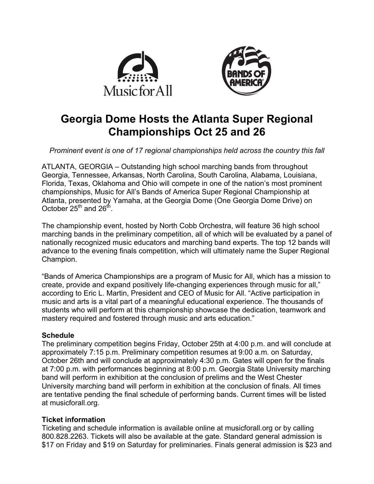



# **Georgia Dome Hosts the Atlanta Super Regional Championships Oct 25 and 26**

*Prominent event is one of 17 regional championships held across the country this fall*

ATLANTA, GEORGIA – Outstanding high school marching bands from throughout Georgia, Tennessee, Arkansas, North Carolina, South Carolina, Alabama, Louisiana, Florida, Texas, Oklahoma and Ohio will compete in one of the nation's most prominent championships, Music for All's Bands of America Super Regional Championship at Atlanta, presented by Yamaha, at the Georgia Dome (One Georgia Dome Drive) on October  $25^{th}$  and  $26^{th}$ .

The championship event, hosted by North Cobb Orchestra, will feature 36 high school marching bands in the preliminary competition, all of which will be evaluated by a panel of nationally recognized music educators and marching band experts. The top 12 bands will advance to the evening finals competition, which will ultimately name the Super Regional Champion.

"Bands of America Championships are a program of Music for All, which has a mission to create, provide and expand positively life-changing experiences through music for all," according to Eric L. Martin, President and CEO of Music for All. "Active participation in music and arts is a vital part of a meaningful educational experience. The thousands of students who will perform at this championship showcase the dedication, teamwork and mastery required and fostered through music and arts education."

# **Schedule**

The preliminary competition begins Friday, October 25th at 4:00 p.m. and will conclude at approximately 7:15 p.m. Preliminary competition resumes at 9:00 a.m. on Saturday, October 26th and will conclude at approximately 4:30 p.m. Gates will open for the finals at 7:00 p.m. with performances beginning at 8:00 p.m. Georgia State University marching band will perform in exhibition at the conclusion of prelims and the West Chester University marching band will perform in exhibition at the conclusion of finals. All times are tentative pending the final schedule of performing bands. Current times will be listed at musicforall.org.

# **Ticket information**

Ticketing and schedule information is available online at musicforall.org or by calling 800.828.2263. Tickets will also be available at the gate. Standard general admission is \$17 on Friday and \$19 on Saturday for preliminaries. Finals general admission is \$23 and